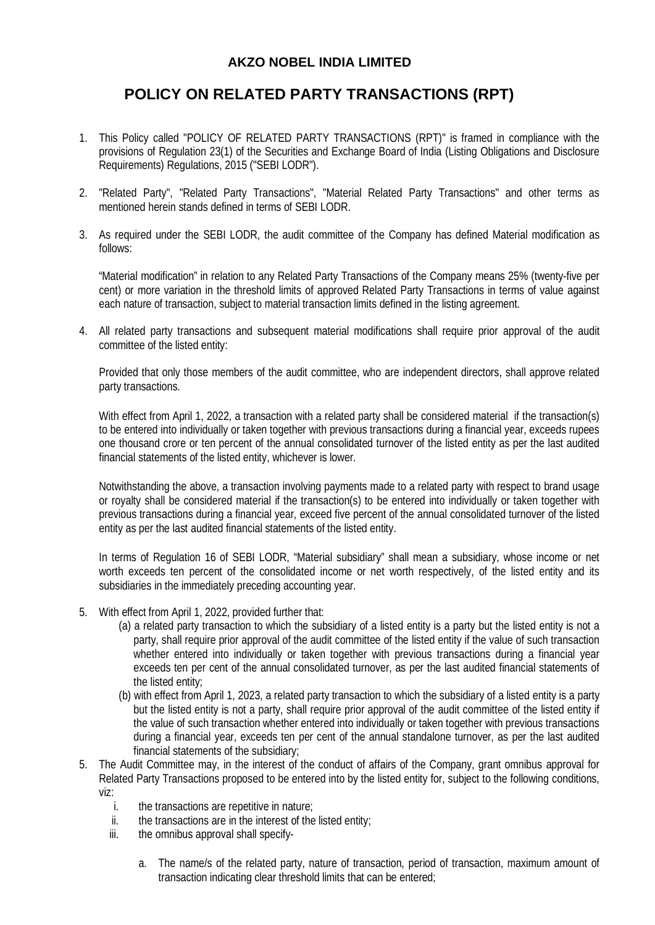## **AKZO NOBEL INDIA LIMITED**

## **POLICY ON RELATED PARTY TRANSACTIONS (RPT)**

- 1. This Policy called "POLICY OF RELATED PARTY TRANSACTIONS (RPT)" is framed in compliance with the provisions of Regulation 23(1) of the Securities and Exchange Board of India (Listing Obligations and Disclosure Requirements) Regulations, 2015 ("SEBI LODR").
- 2. "Related Party", "Related Party Transactions", "Material Related Party Transactions" and other terms as mentioned herein stands defined in terms of SEBI LODR.
- 3. As required under the SEBI LODR, the audit committee of the Company has defined Material modification as follows:

"Material modification" in relation to any Related Party Transactions of the Company means 25% (twenty-five per cent) or more variation in the threshold limits of approved Related Party Transactions in terms of value against each nature of transaction, subject to material transaction limits defined in the listing agreement.

4. All related party transactions and subsequent material modifications shall require prior approval of the audit committee of the listed entity:

Provided that only those members of the audit committee, who are independent directors, shall approve related party transactions.

With effect from April 1, 2022, a transaction with a related party shall be considered material if the transaction(s) to be entered into individually or taken together with previous transactions during a financial year, exceeds rupees one thousand crore or ten percent of the annual consolidated turnover of the listed entity as per the last audited financial statements of the listed entity, whichever is lower.

Notwithstanding the above, a transaction involving payments made to a related party with respect to brand usage or royalty shall be considered material if the transaction(s) to be entered into individually or taken together with previous transactions during a financial year, exceed five percent of the annual consolidated turnover of the listed entity as per the last audited financial statements of the listed entity.

In terms of Regulation 16 of SEBI LODR, "Material subsidiary" shall mean a subsidiary, whose income or net worth exceeds ten percent of the consolidated income or net worth respectively, of the listed entity and its subsidiaries in the immediately preceding accounting year.

- 5. With effect from April 1, 2022, provided further that:
	- (a) a related party transaction to which the subsidiary of a listed entity is a party but the listed entity is not a party, shall require prior approval of the audit committee of the listed entity if the value of such transaction whether entered into individually or taken together with previous transactions during a financial year exceeds ten per cent of the annual consolidated turnover, as per the last audited financial statements of the listed entity;
	- (b) with effect from April 1, 2023, a related party transaction to which the subsidiary of a listed entity is a party but the listed entity is not a party, shall require prior approval of the audit committee of the listed entity if the value of such transaction whether entered into individually or taken together with previous transactions during a financial year, exceeds ten per cent of the annual standalone turnover, as per the last audited financial statements of the subsidiary;
- 5. The Audit Committee may, in the interest of the conduct of affairs of the Company, grant omnibus approval for Related Party Transactions proposed to be entered into by the listed entity for, subject to the following conditions, viz:
	- i. the transactions are repetitive in nature;
	- ii. the transactions are in the interest of the listed entity;
	- iii. the omnibus approval shall specify
		- a. The name/s of the related party, nature of transaction, period of transaction, maximum amount of transaction indicating clear threshold limits that can be entered;